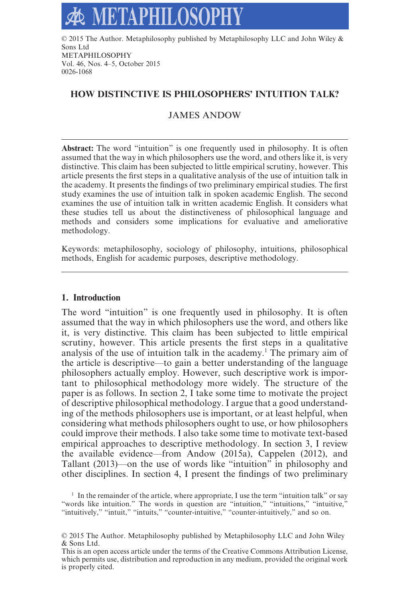# VIETA PHILOSOPH

© 2015 The Author. Metaphilosophy published by Metaphilosophy LLC and John Wiley & Sons Ltd METAPHILOSOPHY Vol. 46, Nos. 4–5, October 2015 0026-1068

# **HOW DISTINCTIVE IS PHILOSOPHERS' INTUITION TALK?**

# JAMES ANDOW

**Abstract:** The word "intuition" is one frequently used in philosophy. It is often assumed that the way in which philosophers use the word, and others like it, is very distinctive. This claim has been subjected to little empirical scrutiny, however. This article presents the first steps in a qualitative analysis of the use of intuition talk in the academy. It presents the findings of two preliminary empirical studies. The first study examines the use of intuition talk in spoken academic English. The second examines the use of intuition talk in written academic English. It considers what these studies tell us about the distinctiveness of philosophical language and methods and considers some implications for evaluative and ameliorative methodology.

Keywords: metaphilosophy, sociology of philosophy, intuitions, philosophical methods, English for academic purposes, descriptive methodology.

## **1. Introduction**

The word "intuition" is one frequently used in philosophy. It is often assumed that the way in which philosophers use the word, and others like it, is very distinctive. This claim has been subjected to little empirical scrutiny, however. This article presents the first steps in a qualitative analysis of the use of intuition talk in the academy.1 The primary aim of the article is descriptive—to gain a better understanding of the language philosophers actually employ. However, such descriptive work is important to philosophical methodology more widely. The structure of the paper is as follows. In section 2, I take some time to motivate the project of descriptive philosophical methodology. I argue that a good understanding of the methods philosophers use is important, or at least helpful, when considering what methods philosophers ought to use, or how philosophers could improve their methods. I also take some time to motivate text-based empirical approaches to descriptive methodology. In section 3, I review the available evidence—from Andow (2015a), Cappelen (2012), and Tallant (2013)—on the use of words like "intuition" in philosophy and other disciplines. In section 4, I present the findings of two preliminary

 $<sup>1</sup>$  In the remainder of the article, where appropriate, I use the term "intuition talk" or say</sup> "words like intuition." The words in question are "intuition," "intuitions," "intuitive," "intuitively," "intuit," "intuits," "counter-intuitive," "counter-intuitively," and so on.

<sup>© 2015</sup> The Author. Metaphilosophy published by Metaphilosophy LLC and John Wiley & Sons Ltd.

This is an open access article under the terms of the Creative Commons Attribution License, which permits use, distribution and reproduction in any medium, provided the original work is properly cited.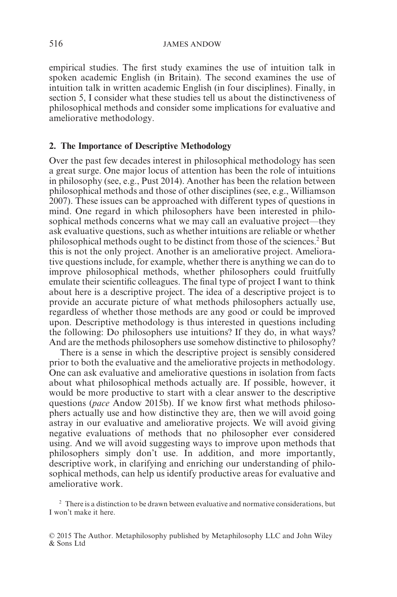empirical studies. The first study examines the use of intuition talk in spoken academic English (in Britain). The second examines the use of intuition talk in written academic English (in four disciplines). Finally, in section 5, I consider what these studies tell us about the distinctiveness of philosophical methods and consider some implications for evaluative and ameliorative methodology.

#### **2. The Importance of Descriptive Methodology**

Over the past few decades interest in philosophical methodology has seen a great surge. One major locus of attention has been the role of intuitions in philosophy (see, e.g., Pust 2014). Another has been the relation between philosophical methods and those of other disciplines (see, e.g., Williamson 2007). These issues can be approached with different types of questions in mind. One regard in which philosophers have been interested in philosophical methods concerns what we may call an evaluative project—they ask evaluative questions, such as whether intuitions are reliable or whether philosophical methods ought to be distinct from those of the sciences.2 But this is not the only project. Another is an ameliorative project. Ameliorative questions include, for example, whether there is anything we can do to improve philosophical methods, whether philosophers could fruitfully emulate their scientific colleagues. The final type of project I want to think about here is a descriptive project. The idea of a descriptive project is to provide an accurate picture of what methods philosophers actually use, regardless of whether those methods are any good or could be improved upon. Descriptive methodology is thus interested in questions including the following: Do philosophers use intuitions? If they do, in what ways? And are the methods philosophers use somehow distinctive to philosophy?

There is a sense in which the descriptive project is sensibly considered prior to both the evaluative and the ameliorative projects in methodology. One can ask evaluative and ameliorative questions in isolation from facts about what philosophical methods actually are. If possible, however, it would be more productive to start with a clear answer to the descriptive questions (*pace* Andow 2015b). If we know first what methods philosophers actually use and how distinctive they are, then we will avoid going astray in our evaluative and ameliorative projects. We will avoid giving negative evaluations of methods that no philosopher ever considered using. And we will avoid suggesting ways to improve upon methods that philosophers simply don't use. In addition, and more importantly, descriptive work, in clarifying and enriching our understanding of philosophical methods, can help us identify productive areas for evaluative and ameliorative work.

 $2$  There is a distinction to be drawn between evaluative and normative considerations, but I won't make it here.

<sup>© 2015</sup> The Author. Metaphilosophy published by Metaphilosophy LLC and John Wiley & Sons Ltd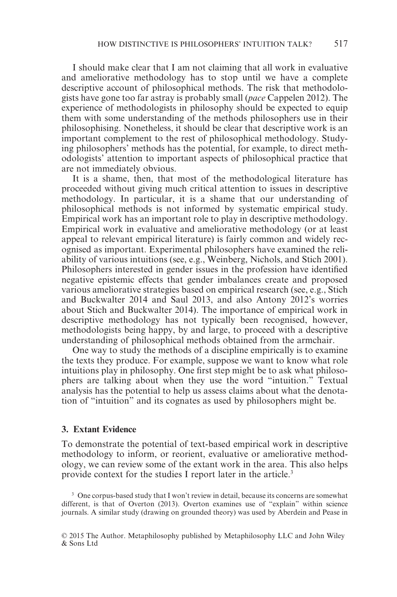I should make clear that I am not claiming that all work in evaluative and ameliorative methodology has to stop until we have a complete descriptive account of philosophical methods. The risk that methodologists have gone too far astray is probably small (*pace* Cappelen 2012). The experience of methodologists in philosophy should be expected to equip them with some understanding of the methods philosophers use in their philosophising. Nonetheless, it should be clear that descriptive work is an important complement to the rest of philosophical methodology. Studying philosophers' methods has the potential, for example, to direct methodologists' attention to important aspects of philosophical practice that are not immediately obvious.

It is a shame, then, that most of the methodological literature has proceeded without giving much critical attention to issues in descriptive methodology. In particular, it is a shame that our understanding of philosophical methods is not informed by systematic empirical study. Empirical work has an important role to play in descriptive methodology. Empirical work in evaluative and ameliorative methodology (or at least appeal to relevant empirical literature) is fairly common and widely recognised as important. Experimental philosophers have examined the reliability of various intuitions (see, e.g., Weinberg, Nichols, and Stich 2001). Philosophers interested in gender issues in the profession have identified negative epistemic effects that gender imbalances create and proposed various ameliorative strategies based on empirical research (see, e.g., Stich and Buckwalter 2014 and Saul 2013, and also Antony 2012's worries about Stich and Buckwalter 2014). The importance of empirical work in descriptive methodology has not typically been recognised, however, methodologists being happy, by and large, to proceed with a descriptive understanding of philosophical methods obtained from the armchair.

One way to study the methods of a discipline empirically is to examine the texts they produce. For example, suppose we want to know what role intuitions play in philosophy. One first step might be to ask what philosophers are talking about when they use the word "intuition." Textual analysis has the potential to help us assess claims about what the denotation of "intuition" and its cognates as used by philosophers might be.

#### **3. Extant Evidence**

To demonstrate the potential of text-based empirical work in descriptive methodology to inform, or reorient, evaluative or ameliorative methodology, we can review some of the extant work in the area. This also helps provide context for the studies I report later in the article.<sup>3</sup>

<sup>3</sup> One corpus-based study that I won't review in detail, because its concerns are somewhat different, is that of Overton (2013). Overton examines use of "explain" within science journals. A similar study (drawing on grounded theory) was used by Aberdein and Pease in

<sup>© 2015</sup> The Author. Metaphilosophy published by Metaphilosophy LLC and John Wiley & Sons Ltd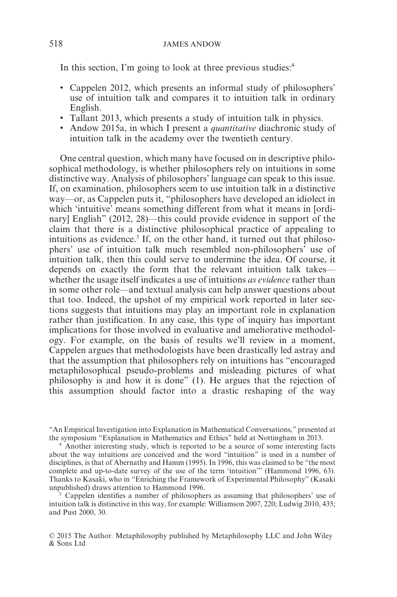In this section, I'm going to look at three previous studies:<sup>4</sup>

- Cappelen 2012, which presents an informal study of philosophers' use of intuition talk and compares it to intuition talk in ordinary English.
- Tallant 2013, which presents a study of intuition talk in physics.
- Andow 2015a, in which I present a *quantitative* diachronic study of intuition talk in the academy over the twentieth century.

One central question, which many have focused on in descriptive philosophical methodology, is whether philosophers rely on intuitions in some distinctive way. Analysis of philosophers' language can speak to this issue. If, on examination, philosophers seem to use intuition talk in a distinctive way—or, as Cappelen puts it, "philosophers have developed an idiolect in which 'intuitive' means something different from what it means in [ordinary] English" (2012, 28)—this could provide evidence in support of the claim that there is a distinctive philosophical practice of appealing to intuitions as evidence.<sup>5</sup> If, on the other hand, it turned out that philosophers' use of intuition talk much resembled non-philosophers' use of intuition talk, then this could serve to undermine the idea. Of course, it depends on exactly the form that the relevant intuition talk takes whether the usage itself indicates a use of intuitions *as evidence* rather than in some other role—and textual analysis can help answer questions about that too. Indeed, the upshot of my empirical work reported in later sections suggests that intuitions may play an important role in explanation rather than justification. In any case, this type of inquiry has important implications for those involved in evaluative and ameliorative methodology. For example, on the basis of results we'll review in a moment, Cappelen argues that methodologists have been drastically led astray and that the assumption that philosophers rely on intuitions has "encouraged metaphilosophical pseudo-problems and misleading pictures of what philosophy is and how it is done" (1). He argues that the rejection of this assumption should factor into a drastic reshaping of the way

"An Empirical Investigation into Explanation in Mathematical Conversations," presented at the symposium "Explanation in Mathematics and Ethics" held at Nottingham in 2013.

<sup>5</sup> Cappelen identifies a number of philosophers as assuming that philosophers' use of intuition talk is distinctive in this way, for example: Williamson 2007, 220; Ludwig 2010, 435; and Pust 2000, 30.

<sup>&</sup>lt;sup>4</sup> Another interesting study, which is reported to be a source of some interesting facts about the way intuitions are conceived and the word "intuition" is used in a number of disciplines, is that of Abernathy and Hamm (1995). In 1996, this was claimed to be "the most complete and up-to-date survey of the use of the term 'intuition'" (Hammond 1996, 63). Thanks to Kasaki, who in "Enriching the Framework of Experimental Philosophy" (Kasaki unpublished) draws attention to Hammond 1996.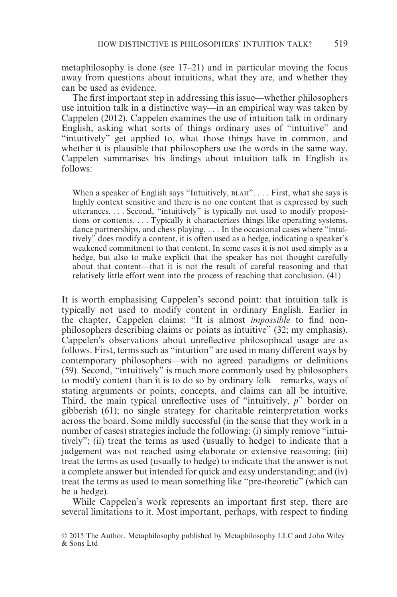metaphilosophy is done (see 17–21) and in particular moving the focus away from questions about intuitions, what they are, and whether they can be used as evidence.

The first important step in addressing this issue—whether philosophers use intuition talk in a distinctive way—in an empirical way was taken by Cappelen (2012). Cappelen examines the use of intuition talk in ordinary English, asking what sorts of things ordinary uses of "intuitive" and "intuitively" get applied to, what those things have in common, and whether it is plausible that philosophers use the words in the same way. Cappelen summarises his findings about intuition talk in English as follows:

When a speaker of English says "Intuitively, BLAH". . . . First, what she says is highly context sensitive and there is no one content that is expressed by such utterances.... Second, "intuitively" is typically not used to modify propositions or contents.... Typically it characterizes things like operating systems, dance partnerships, and chess playing. . . . In the occasional cases where "intuitively" does modify a content, it is often used as a hedge, indicating a speaker's weakened commitment to that content. In some cases it is not used simply as a hedge, but also to make explicit that the speaker has not thought carefully about that content—that it is not the result of careful reasoning and that relatively little effort went into the process of reaching that conclusion. (41)

It is worth emphasising Cappelen's second point: that intuition talk is typically not used to modify content in ordinary English. Earlier in the chapter, Cappelen claims: "It is almost *impossible* to find nonphilosophers describing claims or points as intuitive" (32; my emphasis). Cappelen's observations about unreflective philosophical usage are as follows. First, terms such as "intuition" are used in many different ways by contemporary philosophers—with no agreed paradigms or definitions (59). Second, "intuitively" is much more commonly used by philosophers to modify content than it is to do so by ordinary folk—remarks, ways of stating arguments or points, concepts, and claims can all be intuitive. Third, the main typical unreflective uses of "intuitively, *p*" border on gibberish (61); no single strategy for charitable reinterpretation works across the board. Some mildly successful (in the sense that they work in a number of cases) strategies include the following: (i) simply remove "intuitively"; (ii) treat the terms as used (usually to hedge) to indicate that a judgement was not reached using elaborate or extensive reasoning; (iii) treat the terms as used (usually to hedge) to indicate that the answer is not a complete answer but intended for quick and easy understanding; and (iv) treat the terms as used to mean something like "pre-theoretic" (which can be a hedge).

While Cappelen's work represents an important first step, there are several limitations to it. Most important, perhaps, with respect to finding

<sup>© 2015</sup> The Author. Metaphilosophy published by Metaphilosophy LLC and John Wiley & Sons Ltd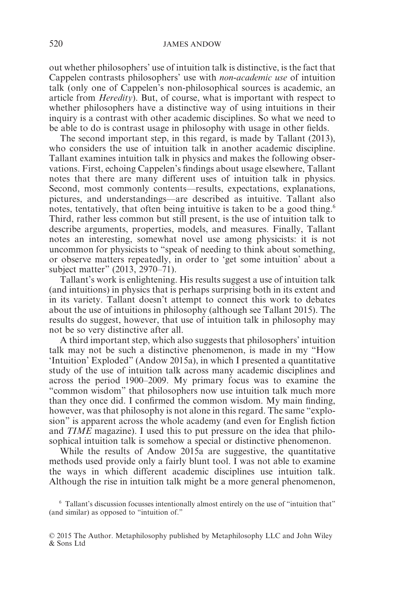out whether philosophers' use of intuition talk is distinctive, is the fact that Cappelen contrasts philosophers' use with *non-academic use* of intuition talk (only one of Cappelen's non-philosophical sources is academic, an article from *Heredity*). But, of course, what is important with respect to whether philosophers have a distinctive way of using intuitions in their inquiry is a contrast with other academic disciplines. So what we need to be able to do is contrast usage in philosophy with usage in other fields.

The second important step, in this regard, is made by Tallant (2013), who considers the use of intuition talk in another academic discipline. Tallant examines intuition talk in physics and makes the following observations. First, echoing Cappelen's findings about usage elsewhere, Tallant notes that there are many different uses of intuition talk in physics. Second, most commonly contents—results, expectations, explanations, pictures, and understandings—are described as intuitive. Tallant also notes, tentatively, that often being intuitive is taken to be a good thing.<sup>6</sup> Third, rather less common but still present, is the use of intuition talk to describe arguments, properties, models, and measures. Finally, Tallant notes an interesting, somewhat novel use among physicists: it is not uncommon for physicists to "speak of needing to think about something, or observe matters repeatedly, in order to 'get some intuition' about a subject matter" (2013, 2970–71).

Tallant's work is enlightening. His results suggest a use of intuition talk (and intuitions) in physics that is perhaps surprising both in its extent and in its variety. Tallant doesn't attempt to connect this work to debates about the use of intuitions in philosophy (although see Tallant 2015). The results do suggest, however, that use of intuition talk in philosophy may not be so very distinctive after all.

A third important step, which also suggests that philosophers' intuition talk may not be such a distinctive phenomenon, is made in my "How 'Intuition' Exploded" (Andow 2015a), in which I presented a quantitative study of the use of intuition talk across many academic disciplines and across the period 1900–2009. My primary focus was to examine the "common wisdom" that philosophers now use intuition talk much more than they once did. I confirmed the common wisdom. My main finding, however, was that philosophy is not alone in this regard. The same "explosion" is apparent across the whole academy (and even for English fiction and *TIME* magazine). I used this to put pressure on the idea that philosophical intuition talk is somehow a special or distinctive phenomenon.

While the results of Andow 2015a are suggestive, the quantitative methods used provide only a fairly blunt tool. I was not able to examine the ways in which different academic disciplines use intuition talk. Although the rise in intuition talk might be a more general phenomenon,

<sup>6</sup> Tallant's discussion focusses intentionally almost entirely on the use of "intuition that" (and similar) as opposed to "intuition of."

<sup>© 2015</sup> The Author. Metaphilosophy published by Metaphilosophy LLC and John Wiley & Sons Ltd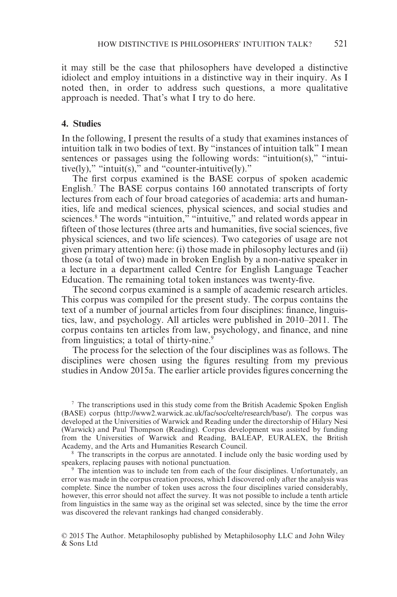it may still be the case that philosophers have developed a distinctive idiolect and employ intuitions in a distinctive way in their inquiry. As I noted then, in order to address such questions, a more qualitative approach is needed. That's what I try to do here.

## **4. Studies**

In the following, I present the results of a study that examines instances of intuition talk in two bodies of text. By "instances of intuition talk" I mean sentences or passages using the following words: "intuition(s)," "intuitive(ly)," "intuit(s)," and "counter-intuitive(ly)."

The first corpus examined is the BASE corpus of spoken academic English.7 The BASE corpus contains 160 annotated transcripts of forty lectures from each of four broad categories of academia: arts and humanities, life and medical sciences, physical sciences, and social studies and sciences.<sup>8</sup> The words "intuition," "intuitive," and related words appear in fifteen of those lectures (three arts and humanities, five social sciences, five physical sciences, and two life sciences). Two categories of usage are not given primary attention here: (i) those made in philosophy lectures and (ii) those (a total of two) made in broken English by a non-native speaker in a lecture in a department called Centre for English Language Teacher Education. The remaining total token instances was twenty-five.

The second corpus examined is a sample of academic research articles. This corpus was compiled for the present study. The corpus contains the text of a number of journal articles from four disciplines: finance, linguistics, law, and psychology. All articles were published in 2010–2011. The corpus contains ten articles from law, psychology, and finance, and nine from linguistics; a total of thirty-nine.<sup>9</sup>

The process for the selection of the four disciplines was as follows. The disciplines were chosen using the figures resulting from my previous studies in Andow 2015a. The earlier article provides figures concerning the

<sup>8</sup> The transcripts in the corpus are annotated. I include only the basic wording used by speakers, replacing pauses with notional punctuation.

<sup>9</sup> The intention was to include ten from each of the four disciplines. Unfortunately, an error was made in the corpus creation process, which I discovered only after the analysis was complete. Since the number of token uses across the four disciplines varied considerably, however, this error should not affect the survey. It was not possible to include a tenth article from linguistics in the same way as the original set was selected, since by the time the error was discovered the relevant rankings had changed considerably.

<sup>7</sup> The transcriptions used in this study come from the British Academic Spoken English (BASE) corpus (http://www2.warwick.ac.uk/fac/soc/celte/research/base/). The corpus was developed at the Universities of Warwick and Reading under the directorship of Hilary Nesi (Warwick) and Paul Thompson (Reading). Corpus development was assisted by funding from the Universities of Warwick and Reading, BALEAP, EURALEX, the British Academy, and the Arts and Humanities Research Council.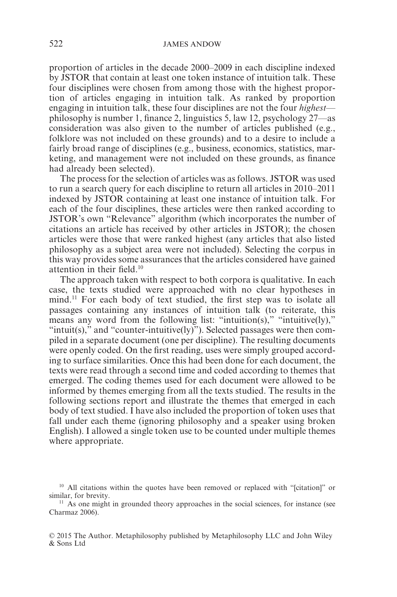proportion of articles in the decade 2000–2009 in each discipline indexed by JSTOR that contain at least one token instance of intuition talk. These four disciplines were chosen from among those with the highest proportion of articles engaging in intuition talk. As ranked by proportion engaging in intuition talk, these four disciplines are not the four *highest* philosophy is number 1, finance 2, linguistics 5, law 12, psychology 27—as consideration was also given to the number of articles published (e.g., folklore was not included on these grounds) and to a desire to include a fairly broad range of disciplines (e.g., business, economics, statistics, marketing, and management were not included on these grounds, as finance had already been selected).

The process for the selection of articles was as follows. JSTOR was used to run a search query for each discipline to return all articles in 2010–2011 indexed by JSTOR containing at least one instance of intuition talk. For each of the four disciplines, these articles were then ranked according to JSTOR's own "Relevance" algorithm (which incorporates the number of citations an article has received by other articles in JSTOR); the chosen articles were those that were ranked highest (any articles that also listed philosophy as a subject area were not included). Selecting the corpus in this way provides some assurances that the articles considered have gained attention in their field.10

The approach taken with respect to both corpora is qualitative. In each case, the texts studied were approached with no clear hypotheses in mind.<sup>11</sup> For each body of text studied, the first step was to isolate all passages containing any instances of intuition talk (to reiterate, this means any word from the following list: "intuition(s)," "intuitive(ly)," "intuit(s)," and "counter-intuitive(ly)"). Selected passages were then compiled in a separate document (one per discipline). The resulting documents were openly coded. On the first reading, uses were simply grouped according to surface similarities. Once this had been done for each document, the texts were read through a second time and coded according to themes that emerged. The coding themes used for each document were allowed to be informed by themes emerging from all the texts studied. The results in the following sections report and illustrate the themes that emerged in each body of text studied. I have also included the proportion of token uses that fall under each theme (ignoring philosophy and a speaker using broken English). I allowed a single token use to be counted under multiple themes where appropriate.

<sup>&</sup>lt;sup>10</sup> All citations within the quotes have been removed or replaced with "[citation]" or similar, for brevity.

 $11$  As one might in grounded theory approaches in the social sciences, for instance (see Charmaz 2006).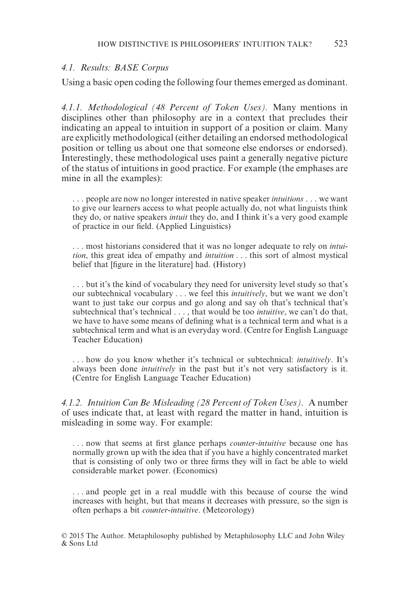#### *4.1. Results: BASE Corpus*

Using a basic open coding the following four themes emerged as dominant.

*4.1.1. Methodological (48 Percent of Token Uses).* Many mentions in disciplines other than philosophy are in a context that precludes their indicating an appeal to intuition in support of a position or claim. Many are explicitly methodological (either detailing an endorsed methodological position or telling us about one that someone else endorses or endorsed). Interestingly, these methodological uses paint a generally negative picture of the status of intuitions in good practice. For example (the emphases are mine in all the examples):

. . . people are now no longer interested in native speaker *intuitions* . . . we want to give our learners access to what people actually do, not what linguists think they do, or native speakers *intuit* they do, and I think it's a very good example of practice in our field. (Applied Linguistics)

. . . most historians considered that it was no longer adequate to rely on *intuition*, this great idea of empathy and *intuition* . . . this sort of almost mystical belief that [figure in the literature] had. (History)

. . . but it's the kind of vocabulary they need for university level study so that's our subtechnical vocabulary . . . we feel this *intuitively*, but we want we don't want to just take our corpus and go along and say oh that's technical that's subtechnical that's technical..., that would be too *intuitive*, we can't do that, we have to have some means of defining what is a technical term and what is a subtechnical term and what is an everyday word. (Centre for English Language Teacher Education)

. . . how do you know whether it's technical or subtechnical: *intuitively*. It's always been done *intuitively* in the past but it's not very satisfactory is it. (Centre for English Language Teacher Education)

*4.1.2. Intuition Can Be Misleading (28 Percent of Token Uses).* A number of uses indicate that, at least with regard the matter in hand, intuition is misleading in some way. For example:

. . . now that seems at first glance perhaps *counter-intuitive* because one has normally grown up with the idea that if you have a highly concentrated market that is consisting of only two or three firms they will in fact be able to wield considerable market power. (Economics)

. . . and people get in a real muddle with this because of course the wind increases with height, but that means it decreases with pressure, so the sign is often perhaps a bit *counter-intuitive*. (Meteorology)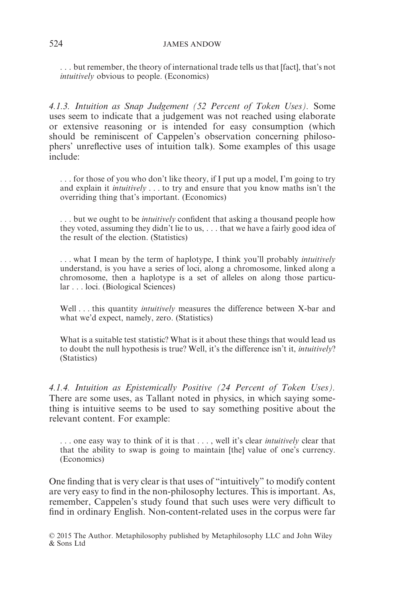. . . but remember, the theory of international trade tells us that [fact], that's not *intuitively* obvious to people. (Economics)

*4.1.3. Intuition as Snap Judgement (52 Percent of Token Uses).* Some uses seem to indicate that a judgement was not reached using elaborate or extensive reasoning or is intended for easy consumption (which should be reminiscent of Cappelen's observation concerning philosophers' unreflective uses of intuition talk). Some examples of this usage include:

. . . for those of you who don't like theory, if I put up a model, I'm going to try and explain it *intuitively* . . . to try and ensure that you know maths isn't the overriding thing that's important. (Economics)

. . . but we ought to be *intuitively* confident that asking a thousand people how they voted, assuming they didn't lie to us,... that we have a fairly good idea of the result of the election. (Statistics)

. . . what I mean by the term of haplotype, I think you'll probably *intuitively* understand, is you have a series of loci, along a chromosome, linked along a chromosome, then a haplotype is a set of alleles on along those particular . . . loci. (Biological Sciences)

Well . . . this quantity *intuitively* measures the difference between X-bar and what we'd expect, namely, zero. (Statistics)

What is a suitable test statistic? What is it about these things that would lead us to doubt the null hypothesis is true? Well, it's the difference isn't it, *intuitively*? (Statistics)

*4.1.4. Intuition as Epistemically Positive (24 Percent of Token Uses).* There are some uses, as Tallant noted in physics, in which saying something is intuitive seems to be used to say something positive about the relevant content. For example:

. . . one easy way to think of it is that..., well it's clear *intuitively* clear that that the ability to swap is going to maintain [the] value of one's currency. (Economics)

One finding that is very clear is that uses of "intuitively" to modify content are very easy to find in the non-philosophy lectures. This is important. As, remember, Cappelen's study found that such uses were very difficult to find in ordinary English. Non-content-related uses in the corpus were far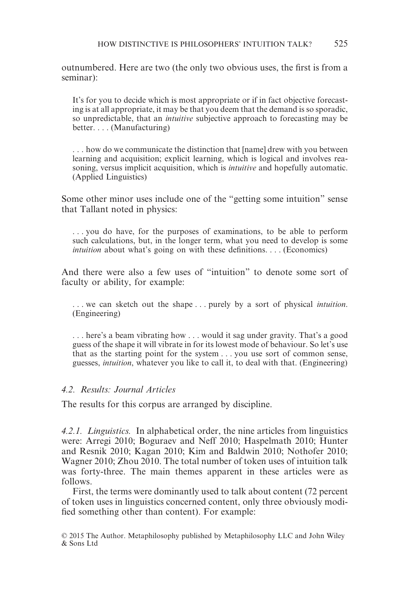outnumbered. Here are two (the only two obvious uses, the first is from a seminar):

It's for you to decide which is most appropriate or if in fact objective forecasting is at all appropriate, it may be that you deem that the demand is so sporadic, so unpredictable, that an *intuitive* subjective approach to forecasting may be better.... (Manufacturing)

. . . how do we communicate the distinction that [name] drew with you between learning and acquisition; explicit learning, which is logical and involves reasoning, versus implicit acquisition, which is *intuitive* and hopefully automatic. (Applied Linguistics)

Some other minor uses include one of the "getting some intuition" sense that Tallant noted in physics:

. . . you do have, for the purposes of examinations, to be able to perform such calculations, but, in the longer term, what you need to develop is some *intuition* about what's going on with these definitions.... (Economics)

And there were also a few uses of "intuition" to denote some sort of faculty or ability, for example:

. . . we can sketch out the shape... purely by a sort of physical *intuition*. (Engineering)

. . . here's a beam vibrating how... would it sag under gravity. That's a good guess of the shape it will vibrate in for its lowest mode of behaviour. So let's use that as the starting point for the system . . . you use sort of common sense, guesses, *intuition*, whatever you like to call it, to deal with that. (Engineering)

# *4.2. Results: Journal Articles*

The results for this corpus are arranged by discipline.

*4.2.1. Linguistics.* In alphabetical order, the nine articles from linguistics were: Arregi 2010; Boguraev and Neff 2010; Haspelmath 2010; Hunter and Resnik 2010; Kagan 2010; Kim and Baldwin 2010; Nothofer 2010; Wagner 2010; Zhou 2010. The total number of token uses of intuition talk was forty-three. The main themes apparent in these articles were as follows.

First, the terms were dominantly used to talk about content (72 percent of token uses in linguistics concerned content, only three obviously modified something other than content). For example: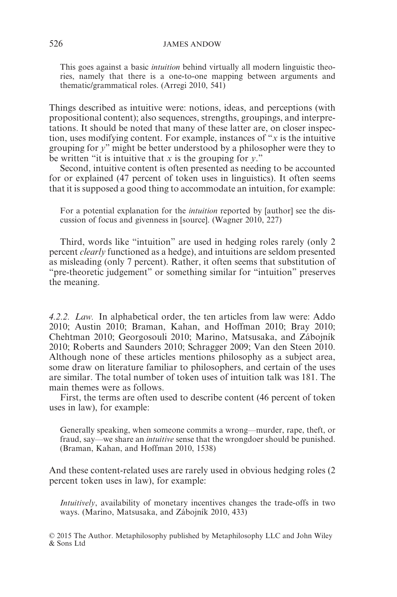This goes against a basic *intuition* behind virtually all modern linguistic theories, namely that there is a one-to-one mapping between arguments and thematic/grammatical roles. (Arregi 2010, 541)

Things described as intuitive were: notions, ideas, and perceptions (with propositional content); also sequences, strengths, groupings, and interpretations. It should be noted that many of these latter are, on closer inspection, uses modifying content. For example, instances of "*x* is the intuitive grouping for *y*" might be better understood by a philosopher were they to be written "it is intuitive that *x* is the grouping for *y*."

Second, intuitive content is often presented as needing to be accounted for or explained (47 percent of token uses in linguistics). It often seems that it is supposed a good thing to accommodate an intuition, for example:

For a potential explanation for the *intuition* reported by [author] see the discussion of focus and givenness in [source]. (Wagner 2010, 227)

Third, words like "intuition" are used in hedging roles rarely (only 2 percent *clearly* functioned as a hedge), and intuitions are seldom presented as misleading (only 7 percent). Rather, it often seems that substitution of "pre-theoretic judgement" or something similar for "intuition" preserves the meaning.

*4.2.2. Law.* In alphabetical order, the ten articles from law were: Addo 2010; Austin 2010; Braman, Kahan, and Hoffman 2010; Bray 2010; Chehtman 2010; Georgosouli 2010; Marino, Matsusaka, and Zábojník 2010; Roberts and Saunders 2010; Schragger 2009; Van den Steen 2010. Although none of these articles mentions philosophy as a subject area, some draw on literature familiar to philosophers, and certain of the uses are similar. The total number of token uses of intuition talk was 181. The main themes were as follows.

First, the terms are often used to describe content (46 percent of token uses in law), for example:

Generally speaking, when someone commits a wrong—murder, rape, theft, or fraud, say—we share an *intuitive* sense that the wrongdoer should be punished. (Braman, Kahan, and Hoffman 2010, 1538)

And these content-related uses are rarely used in obvious hedging roles (2 percent token uses in law), for example:

*Intuitively*, availability of monetary incentives changes the trade-offs in two ways. (Marino, Matsusaka, and Zábojník 2010, 433)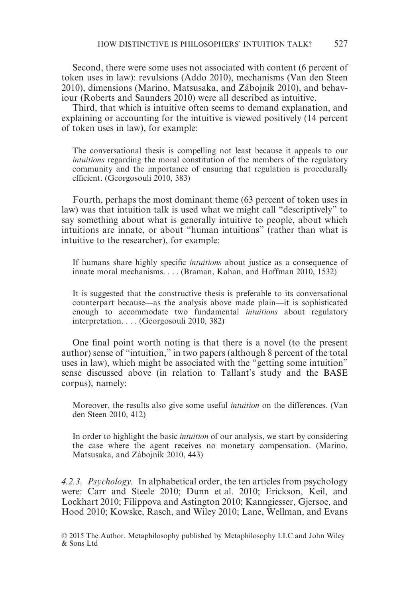Second, there were some uses not associated with content (6 percent of token uses in law): revulsions (Addo 2010), mechanisms (Van den Steen 2010), dimensions (Marino, Matsusaka, and Zábojník 2010), and behaviour (Roberts and Saunders 2010) were all described as intuitive.

Third, that which is intuitive often seems to demand explanation, and explaining or accounting for the intuitive is viewed positively (14 percent of token uses in law), for example:

The conversational thesis is compelling not least because it appeals to our *intuitions* regarding the moral constitution of the members of the regulatory community and the importance of ensuring that regulation is procedurally efficient. (Georgosouli 2010, 383)

Fourth, perhaps the most dominant theme (63 percent of token uses in law) was that intuition talk is used what we might call "descriptively" to say something about what is generally intuitive to people, about which intuitions are innate, or about "human intuitions" (rather than what is intuitive to the researcher), for example:

If humans share highly specific *intuitions* about justice as a consequence of innate moral mechanisms.... (Braman, Kahan, and Hoffman 2010, 1532)

It is suggested that the constructive thesis is preferable to its conversational counterpart because—as the analysis above made plain—it is sophisticated enough to accommodate two fundamental *intuitions* about regulatory interpretation.... (Georgosouli 2010, 382)

One final point worth noting is that there is a novel (to the present author) sense of "intuition," in two papers (although 8 percent of the total uses in law), which might be associated with the "getting some intuition" sense discussed above (in relation to Tallant's study and the BASE corpus), namely:

Moreover, the results also give some useful *intuition* on the differences. (Van den Steen 2010, 412)

In order to highlight the basic *intuition* of our analysis, we start by considering the case where the agent receives no monetary compensation. (Marino, Matsusaka, and Zábojník 2010, 443)

*4.2.3. Psychology.* In alphabetical order, the ten articles from psychology were: Carr and Steele 2010; Dunn et al. 2010; Erickson, Keil, and Lockhart 2010; Filippova and Astington 2010; Kanngiesser, Gjersoe, and Hood 2010; Kowske, Rasch, and Wiley 2010; Lane, Wellman, and Evans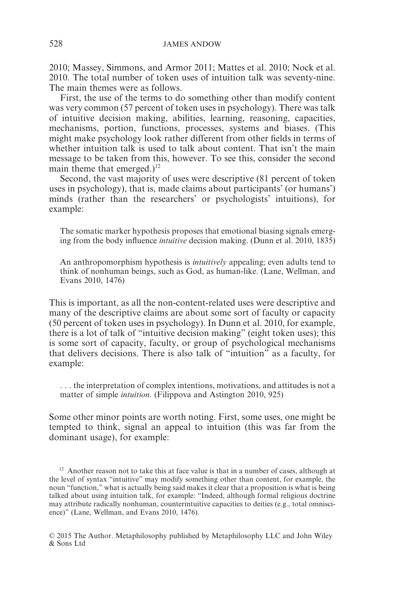2010; Massey, Simmons, and Armor 2011; Mattes et al. 2010; Nock et al. 2010. The total number of token uses of intuition talk was seventy-nine. The main themes were as follows.

First, the use of the terms to do something other than modify content was very common (57 percent of token uses in psychology). There was talk of intuitive decision making, abilities, learning, reasoning, capacities, mechanisms, portion, functions, processes, systems and biases. (This might make psychology look rather different from other fields in terms of whether intuition talk is used to talk about content. That isn't the main message to be taken from this, however. To see this, consider the second main theme that emerged.) $12$ 

Second, the vast majority of uses were descriptive (81 percent of token uses in psychology), that is, made claims about participants' (or humans') minds (rather than the researchers' or psychologists' intuitions), for example:

The somatic marker hypothesis proposes that emotional biasing signals emerging from the body influence *intuitive* decision making. (Dunn et al. 2010, 1835)

An anthropomorphism hypothesis is *intuitively* appealing; even adults tend to think of nonhuman beings, such as God, as human-like. (Lane, Wellman, and Evans 2010, 1476)

This is important, as all the non-content-related uses were descriptive and many of the descriptive claims are about some sort of faculty or capacity (50 percent of token uses in psychology). In Dunn et al. 2010, for example, there is a lot of talk of "intuitive decision making" (eight token uses); this is some sort of capacity, faculty, or group of psychological mechanisms that delivers decisions. There is also talk of "intuition" as a faculty, for example:

. . . the interpretation of complex intentions, motivations, and attitudes is not a matter of simple *intuition*. (Filippova and Astington 2010, 925)

Some other minor points are worth noting. First, some uses, one might be tempted to think, signal an appeal to intuition (this was far from the dominant usage), for example:

 $12$  Another reason not to take this at face value is that in a number of cases, although at the level of syntax "intuitive" may modify something other than content, for example, the noun "function," what is actually being said makes it clear that a proposition is what is being talked about using intuition talk, for example: "Indeed, although formal religious doctrine may attribute radically nonhuman, counterintuitive capacities to deities (e.g., total omniscience)" (Lane, Wellman, and Evans 2010, 1476).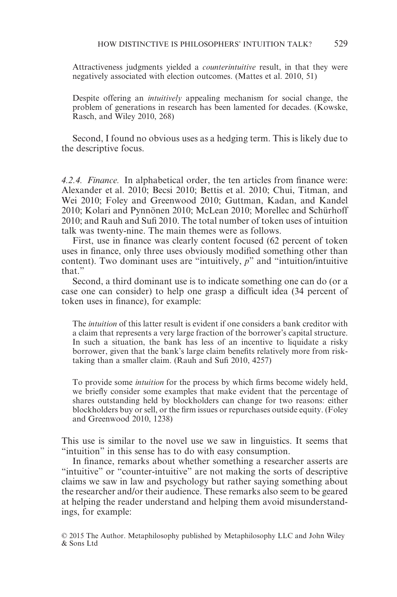Attractiveness judgments yielded a *counterintuitive* result, in that they were negatively associated with election outcomes. (Mattes et al. 2010, 51)

Despite offering an *intuitively* appealing mechanism for social change, the problem of generations in research has been lamented for decades. (Kowske, Rasch, and Wiley 2010, 268)

Second, I found no obvious uses as a hedging term. This is likely due to the descriptive focus.

*4.2.4. Finance.* In alphabetical order, the ten articles from finance were: Alexander et al. 2010; Becsi 2010; Bettis et al. 2010; Chui, Titman, and Wei 2010; Foley and Greenwood 2010; Guttman, Kadan, and Kandel 2010; Kolari and Pynnönen 2010; McLean 2010; Morellec and Schürhoff 2010; and Rauh and Sufi 2010. The total number of token uses of intuition talk was twenty-nine. The main themes were as follows.

First, use in finance was clearly content focused (62 percent of token uses in finance, only three uses obviously modified something other than content). Two dominant uses are "intuitively, *p*" and "intuition/intuitive that."

Second, a third dominant use is to indicate something one can do (or a case one can consider) to help one grasp a difficult idea (34 percent of token uses in finance), for example:

The *intuition* of this latter result is evident if one considers a bank creditor with a claim that represents a very large fraction of the borrower's capital structure. In such a situation, the bank has less of an incentive to liquidate a risky borrower, given that the bank's large claim benefits relatively more from risktaking than a smaller claim. (Rauh and Sufi 2010, 4257)

To provide some *intuition* for the process by which firms become widely held, we briefly consider some examples that make evident that the percentage of shares outstanding held by blockholders can change for two reasons: either blockholders buy or sell, or the firm issues or repurchases outside equity. (Foley and Greenwood 2010, 1238)

This use is similar to the novel use we saw in linguistics. It seems that "intuition" in this sense has to do with easy consumption.

In finance, remarks about whether something a researcher asserts are "intuitive" or "counter-intuitive" are not making the sorts of descriptive claims we saw in law and psychology but rather saying something about the researcher and/or their audience. These remarks also seem to be geared at helping the reader understand and helping them avoid misunderstandings, for example: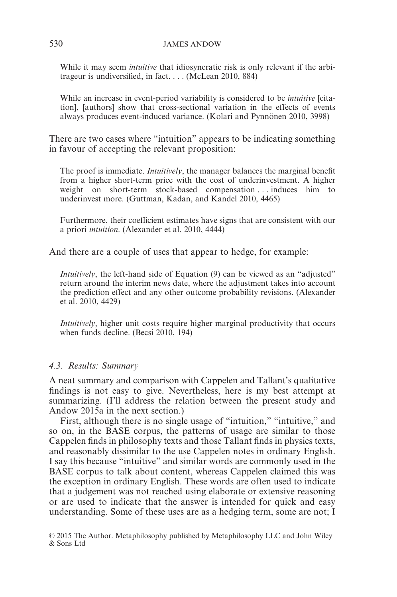#### 530 JAMES ANDOW

While it may seem *intuitive* that idiosyncratic risk is only relevant if the arbitrageur is undiversified, in fact.... (McLean 2010, 884)

While an increase in event-period variability is considered to be *intuitive* [citation], [authors] show that cross-sectional variation in the effects of events always produces event-induced variance. (Kolari and Pynnönen 2010, 3998)

There are two cases where "intuition" appears to be indicating something in favour of accepting the relevant proposition:

The proof is immediate. *Intuitively*, the manager balances the marginal benefit from a higher short-term price with the cost of underinvestment. A higher weight on short-term stock-based compensation... induces him to underinvest more. (Guttman, Kadan, and Kandel 2010, 4465)

Furthermore, their coefficient estimates have signs that are consistent with our a priori *intuition*. (Alexander et al. 2010, 4444)

And there are a couple of uses that appear to hedge, for example:

*Intuitively*, the left-hand side of Equation (9) can be viewed as an "adjusted" return around the interim news date, where the adjustment takes into account the prediction effect and any other outcome probability revisions. (Alexander et al. 2010, 4429)

*Intuitively*, higher unit costs require higher marginal productivity that occurs when funds decline. (Becsi 2010, 194)

#### *4.3. Results: Summary*

A neat summary and comparison with Cappelen and Tallant's qualitative findings is not easy to give. Nevertheless, here is my best attempt at summarizing. (I'll address the relation between the present study and Andow 2015a in the next section.)

First, although there is no single usage of "intuition," "intuitive," and so on, in the BASE corpus, the patterns of usage are similar to those Cappelen finds in philosophy texts and those Tallant finds in physics texts, and reasonably dissimilar to the use Cappelen notes in ordinary English. I say this because "intuitive" and similar words are commonly used in the BASE corpus to talk about content, whereas Cappelen claimed this was the exception in ordinary English. These words are often used to indicate that a judgement was not reached using elaborate or extensive reasoning or are used to indicate that the answer is intended for quick and easy understanding. Some of these uses are as a hedging term, some are not; I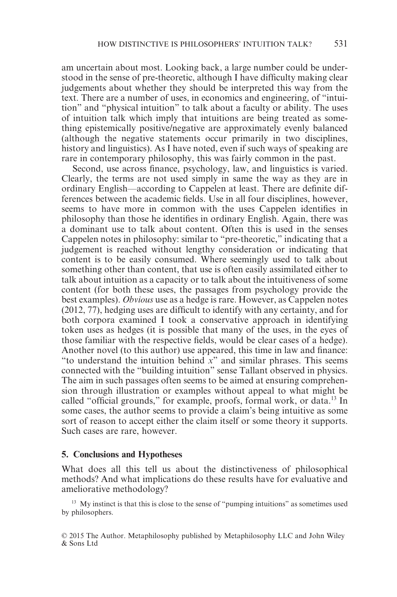am uncertain about most. Looking back, a large number could be understood in the sense of pre-theoretic, although I have difficulty making clear judgements about whether they should be interpreted this way from the text. There are a number of uses, in economics and engineering, of "intuition" and "physical intuition" to talk about a faculty or ability. The uses of intuition talk which imply that intuitions are being treated as something epistemically positive/negative are approximately evenly balanced (although the negative statements occur primarily in two disciplines, history and linguistics). As I have noted, even if such ways of speaking are rare in contemporary philosophy, this was fairly common in the past.

Second, use across finance, psychology, law, and linguistics is varied. Clearly, the terms are not used simply in same the way as they are in ordinary English—according to Cappelen at least. There are definite differences between the academic fields. Use in all four disciplines, however, seems to have more in common with the uses Cappelen identifies in philosophy than those he identifies in ordinary English. Again, there was a dominant use to talk about content. Often this is used in the senses Cappelen notes in philosophy: similar to "pre-theoretic," indicating that a judgement is reached without lengthy consideration or indicating that content is to be easily consumed. Where seemingly used to talk about something other than content, that use is often easily assimilated either to talk about intuition as a capacity or to talk about the intuitiveness of some content (for both these uses, the passages from psychology provide the best examples). *Obvious* use as a hedge is rare. However, as Cappelen notes (2012, 77), hedging uses are difficult to identify with any certainty, and for both corpora examined I took a conservative approach in identifying token uses as hedges (it is possible that many of the uses, in the eyes of those familiar with the respective fields, would be clear cases of a hedge). Another novel (to this author) use appeared, this time in law and finance: "to understand the intuition behind *x*" and similar phrases. This seems connected with the "building intuition" sense Tallant observed in physics. The aim in such passages often seems to be aimed at ensuring comprehension through illustration or examples without appeal to what might be called "official grounds," for example, proofs, formal work, or data.13 In some cases, the author seems to provide a claim's being intuitive as some sort of reason to accept either the claim itself or some theory it supports. Such cases are rare, however.

#### **5. Conclusions and Hypotheses**

What does all this tell us about the distinctiveness of philosophical methods? And what implications do these results have for evaluative and ameliorative methodology?

<sup>13</sup> My instinct is that this is close to the sense of "pumping intuitions" as sometimes used by philosophers.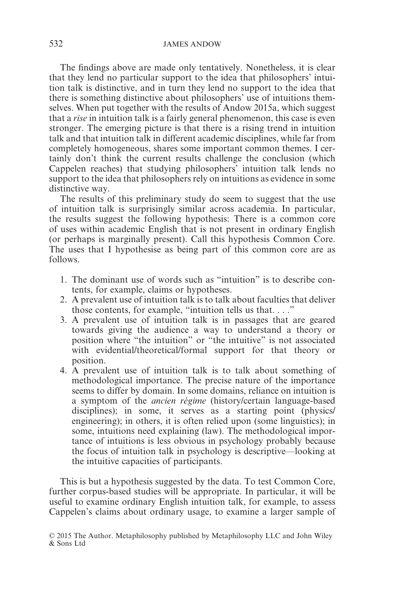The findings above are made only tentatively. Nonetheless, it is clear that they lend no particular support to the idea that philosophers' intuition talk is distinctive, and in turn they lend no support to the idea that there is something distinctive about philosophers' use of intuitions themselves. When put together with the results of Andow 2015a, which suggest that a *rise* in intuition talk is a fairly general phenomenon, this case is even stronger. The emerging picture is that there is a rising trend in intuition talk and that intuition talk in different academic disciplines, while far from completely homogeneous, shares some important common themes. I certainly don't think the current results challenge the conclusion (which Cappelen reaches) that studying philosophers' intuition talk lends no support to the idea that philosophers rely on intuitions as evidence in some distinctive way.

The results of this preliminary study do seem to suggest that the use of intuition talk is surprisingly similar across academia. In particular, the results suggest the following hypothesis: There is a common core of uses within academic English that is not present in ordinary English (or perhaps is marginally present). Call this hypothesis Common Core. The uses that I hypothesise as being part of this common core are as follows.

- 1. The dominant use of words such as "intuition" is to describe contents, for example, claims or hypotheses.
- 2. A prevalent use of intuition talk is to talk about faculties that deliver those contents, for example, "intuition tells us that. . . ."
- 3. A prevalent use of intuition talk is in passages that are geared towards giving the audience a way to understand a theory or position where "the intuition" or "the intuitive" is not associated with evidential/theoretical/formal support for that theory or position.
- 4. A prevalent use of intuition talk is to talk about something of methodological importance. The precise nature of the importance seems to differ by domain. In some domains, reliance on intuition is a symptom of the *ancien régime* (history/certain language-based disciplines); in some, it serves as a starting point (physics/ engineering); in others, it is often relied upon (some linguistics); in some, intuitions need explaining (law). The methodological importance of intuitions is less obvious in psychology probably because the focus of intuition talk in psychology is descriptive—looking at the intuitive capacities of participants.

This is but a hypothesis suggested by the data. To test Common Core, further corpus-based studies will be appropriate. In particular, it will be useful to examine ordinary English intuition talk, for example, to assess Cappelen's claims about ordinary usage, to examine a larger sample of

<sup>© 2015</sup> The Author. Metaphilosophy published by Metaphilosophy LLC and John Wiley & Sons Ltd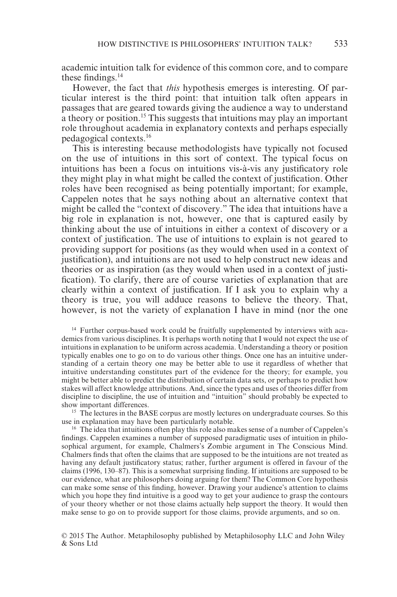academic intuition talk for evidence of this common core, and to compare these findings.<sup>14</sup>

However, the fact that *this* hypothesis emerges is interesting. Of particular interest is the third point: that intuition talk often appears in passages that are geared towards giving the audience a way to understand a theory or position.15 This suggests that intuitions may play an important role throughout academia in explanatory contexts and perhaps especially pedagogical contexts.16

This is interesting because methodologists have typically not focused on the use of intuitions in this sort of context. The typical focus on intuitions has been a focus on intuitions vis-à-vis any justificatory role they might play in what might be called the context of justification. Other roles have been recognised as being potentially important; for example, Cappelen notes that he says nothing about an alternative context that might be called the "context of discovery." The idea that intuitions have a big role in explanation is not, however, one that is captured easily by thinking about the use of intuitions in either a context of discovery or a context of justification. The use of intuitions to explain is not geared to providing support for positions (as they would when used in a context of justification), and intuitions are not used to help construct new ideas and theories or as inspiration (as they would when used in a context of justification). To clarify, there are of course varieties of explanation that are clearly within a context of justification. If I ask you to explain why a theory is true, you will adduce reasons to believe the theory. That, however, is not the variety of explanation I have in mind (nor the one

<sup>14</sup> Further corpus-based work could be fruitfully supplemented by interviews with academics from various disciplines. It is perhaps worth noting that I would not expect the use of intuitions in explanation to be uniform across academia. Understanding a theory or position typically enables one to go on to do various other things. Once one has an intuitive understanding of a certain theory one may be better able to use it regardless of whether that intuitive understanding constitutes part of the evidence for the theory; for example, you might be better able to predict the distribution of certain data sets, or perhaps to predict how stakes will affect knowledge attributions. And, since the types and uses of theories differ from discipline to discipline, the use of intuition and "intuition" should probably be expected to show important differences.

<sup>15</sup> The lectures in the BASE corpus are mostly lectures on undergraduate courses. So this use in explanation may have been particularly notable.

<sup>16</sup> The idea that intuitions often play this role also makes sense of a number of Cappelen's findings. Cappelen examines a number of supposed paradigmatic uses of intuition in philosophical argument, for example, Chalmers's Zombie argument in The Conscious Mind. Chalmers finds that often the claims that are supposed to be the intuitions are not treated as having any default justificatory status; rather, further argument is offered in favour of the claims (1996, 130–87). This is a somewhat surprising finding. If intuitions are supposed to be our evidence, what are philosophers doing arguing for them? The Common Core hypothesis can make some sense of this finding, however. Drawing your audience's attention to claims which you hope they find intuitive is a good way to get your audience to grasp the contours of your theory whether or not those claims actually help support the theory. It would then make sense to go on to provide support for those claims, provide arguments, and so on.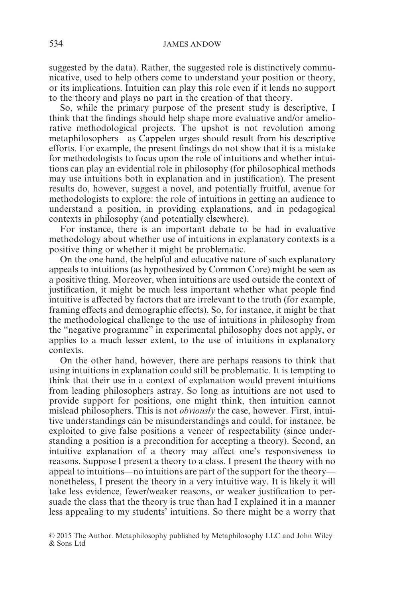suggested by the data). Rather, the suggested role is distinctively communicative, used to help others come to understand your position or theory, or its implications. Intuition can play this role even if it lends no support to the theory and plays no part in the creation of that theory.

So, while the primary purpose of the present study is descriptive, I think that the findings should help shape more evaluative and/or ameliorative methodological projects. The upshot is not revolution among metaphilosophers—as Cappelen urges should result from his descriptive efforts. For example, the present findings do not show that it is a mistake for methodologists to focus upon the role of intuitions and whether intuitions can play an evidential role in philosophy (for philosophical methods may use intuitions both in explanation and in justification). The present results do, however, suggest a novel, and potentially fruitful, avenue for methodologists to explore: the role of intuitions in getting an audience to understand a position, in providing explanations, and in pedagogical contexts in philosophy (and potentially elsewhere).

For instance, there is an important debate to be had in evaluative methodology about whether use of intuitions in explanatory contexts is a positive thing or whether it might be problematic.

On the one hand, the helpful and educative nature of such explanatory appeals to intuitions (as hypothesized by Common Core) might be seen as a positive thing. Moreover, when intuitions are used outside the context of justification, it might be much less important whether what people find intuitive is affected by factors that are irrelevant to the truth (for example, framing effects and demographic effects). So, for instance, it might be that the methodological challenge to the use of intuitions in philosophy from the "negative programme" in experimental philosophy does not apply, or applies to a much lesser extent, to the use of intuitions in explanatory contexts.

On the other hand, however, there are perhaps reasons to think that using intuitions in explanation could still be problematic. It is tempting to think that their use in a context of explanation would prevent intuitions from leading philosophers astray. So long as intuitions are not used to provide support for positions, one might think, then intuition cannot mislead philosophers. This is not *obviously* the case, however. First, intuitive understandings can be misunderstandings and could, for instance, be exploited to give false positions a veneer of respectability (since understanding a position is a precondition for accepting a theory). Second, an intuitive explanation of a theory may affect one's responsiveness to reasons. Suppose I present a theory to a class. I present the theory with no appeal to intuitions—no intuitions are part of the support for the theory nonetheless, I present the theory in a very intuitive way. It is likely it will take less evidence, fewer/weaker reasons, or weaker justification to persuade the class that the theory is true than had I explained it in a manner less appealing to my students' intuitions. So there might be a worry that

<sup>© 2015</sup> The Author. Metaphilosophy published by Metaphilosophy LLC and John Wiley & Sons Ltd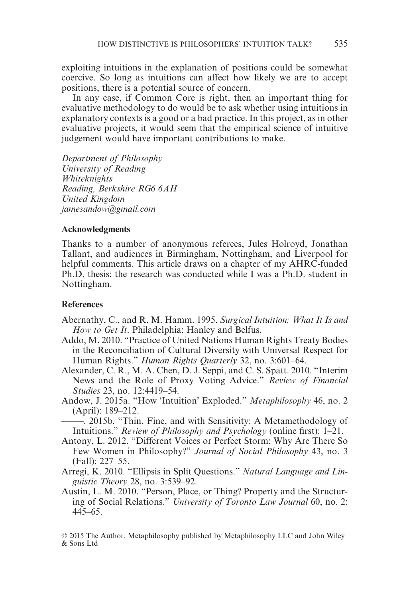exploiting intuitions in the explanation of positions could be somewhat coercive. So long as intuitions can affect how likely we are to accept positions, there is a potential source of concern.

In any case, if Common Core is right, then an important thing for evaluative methodology to do would be to ask whether using intuitions in explanatory contexts is a good or a bad practice. In this project, as in other evaluative projects, it would seem that the empirical science of intuitive judgement would have important contributions to make.

*Department of Philosophy University of Reading Whiteknights Reading, Berkshire RG6 6AH United Kingdom jamesandow@gmail.com*

## **Acknowledgments**

Thanks to a number of anonymous referees, Jules Holroyd, Jonathan Tallant, and audiences in Birmingham, Nottingham, and Liverpool for helpful comments. This article draws on a chapter of my AHRC-funded Ph.D. thesis; the research was conducted while I was a Ph.D. student in Nottingham.

#### **References**

- Abernathy, C., and R. M. Hamm. 1995. *Surgical Intuition: What It Is and How to Get It*. Philadelphia: Hanley and Belfus.
- Addo, M. 2010. "Practice of United Nations Human Rights Treaty Bodies in the Reconciliation of Cultural Diversity with Universal Respect for Human Rights." *Human Rights Quarterly* 32, no. 3:601–64.
- Alexander, C. R., M. A. Chen, D. J. Seppi, and C. S. Spatt. 2010. "Interim News and the Role of Proxy Voting Advice." *Review of Financial Studies* 23, no. 12:4419–54.
- Andow, J. 2015a. "How 'Intuition' Exploded." *Metaphilosophy* 46, no. 2 (April): 189–212.

. 2015b. "Thin, Fine, and with Sensitivity: A Metamethodology of Intuitions." *Review of Philosophy and Psychology* (online first): 1–21.

- Antony, L. 2012. "Different Voices or Perfect Storm: Why Are There So Few Women in Philosophy?" *Journal of Social Philosophy* 43, no. 3 (Fall): 227–55.
- Arregi, K. 2010. "Ellipsis in Split Questions." *Natural Language and Linguistic Theory* 28, no. 3:539–92.
- Austin, L. M. 2010. "Person, Place, or Thing? Property and the Structuring of Social Relations." *University of Toronto Law Journal* 60, no. 2: 445–65.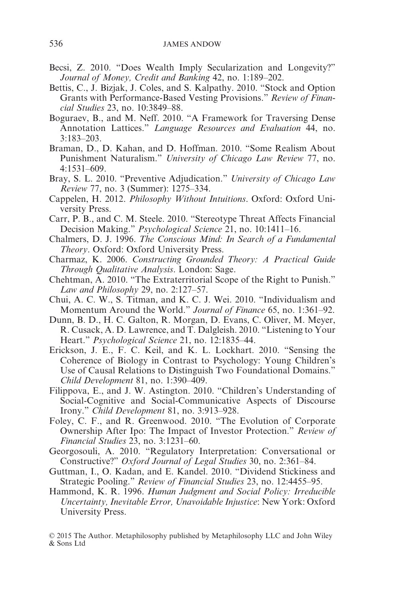- Becsi, Z. 2010. "Does Wealth Imply Secularization and Longevity?" *Journal of Money, Credit and Banking* 42, no. 1:189–202.
- Bettis, C., J. Bizjak, J. Coles, and S. Kalpathy. 2010. "Stock and Option Grants with Performance-Based Vesting Provisions." *Review of Financial Studies* 23, no. 10:3849–88.
- Boguraev, B., and M. Neff. 2010. "A Framework for Traversing Dense Annotation Lattices." *Language Resources and Evaluation* 44, no. 3:183–203.
- Braman, D., D. Kahan, and D. Hoffman. 2010. "Some Realism About Punishment Naturalism." *University of Chicago Law Review* 77, no. 4:1531–609.
- Bray, S. L. 2010. "Preventive Adjudication." *University of Chicago Law Review* 77, no. 3 (Summer): 1275–334.
- Cappelen, H. 2012. *Philosophy Without Intuitions*. Oxford: Oxford University Press.
- Carr, P. B., and C. M. Steele. 2010. "Stereotype Threat Affects Financial Decision Making." *Psychological Science* 21, no. 10:1411–16.
- Chalmers, D. J. 1996. *The Conscious Mind: In Search of a Fundamental Theory*. Oxford: Oxford University Press.
- Charmaz, K. 2006. *Constructing Grounded Theory: A Practical Guide Through Qualitative Analysis*. London: Sage.
- Chehtman, A. 2010. "The Extraterritorial Scope of the Right to Punish." *Law and Philosophy* 29, no. 2:127–57.
- Chui, A. C. W., S. Titman, and K. C. J. Wei. 2010. "Individualism and Momentum Around the World." *Journal of Finance* 65, no. 1:361–92.
- Dunn, B. D., H. C. Galton, R. Morgan, D. Evans, C. Oliver, M. Meyer, R. Cusack, A. D. Lawrence, and T. Dalgleish. 2010. "Listening to Your Heart." *Psychological Science* 21, no. 12:1835–44.
- Erickson, J. E., F. C. Keil, and K. L. Lockhart. 2010. "Sensing the Coherence of Biology in Contrast to Psychology: Young Children's Use of Causal Relations to Distinguish Two Foundational Domains." *Child Development* 81, no. 1:390–409.
- Filippova, E., and J. W. Astington. 2010. "Children's Understanding of Social-Cognitive and Social-Communicative Aspects of Discourse Irony." *Child Development* 81, no. 3:913–928.
- Foley, C. F., and R. Greenwood. 2010. "The Evolution of Corporate Ownership After Ipo: The Impact of Investor Protection." *Review of Financial Studies* 23, no. 3:1231–60.
- Georgosouli, A. 2010. "Regulatory Interpretation: Conversational or Constructive?" *Oxford Journal of Legal Studies* 30, no. 2:361–84.
- Guttman, I., O. Kadan, and E. Kandel. 2010. "Dividend Stickiness and Strategic Pooling." *Review of Financial Studies* 23, no. 12:4455–95.
- Hammond, K. R. 1996. *Human Judgment and Social Policy: Irreducible Uncertainty, Inevitable Error, Unavoidable Injustice*: New York: Oxford University Press.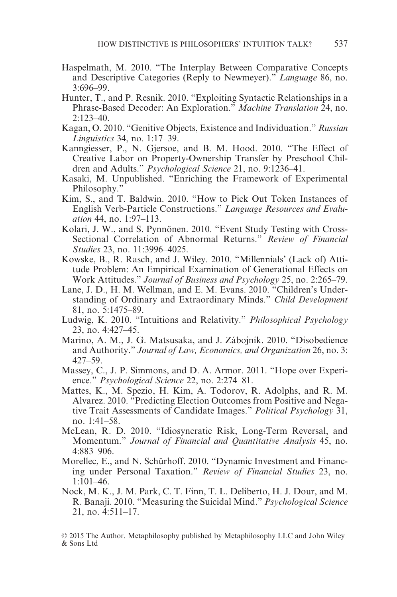- Haspelmath, M. 2010. "The Interplay Between Comparative Concepts and Descriptive Categories (Reply to Newmeyer)." *Language* 86, no. 3:696–99.
- Hunter, T., and P. Resnik. 2010. "Exploiting Syntactic Relationships in a Phrase-Based Decoder: An Exploration." *Machine Translation* 24, no. 2:123–40.
- Kagan, O. 2010. "Genitive Objects, Existence and Individuation." *Russian Linguistics* 34, no. 1:17–39.
- Kanngiesser, P., N. Gjersoe, and B. M. Hood. 2010. "The Effect of Creative Labor on Property-Ownership Transfer by Preschool Children and Adults." *Psychological Science* 21, no. 9:1236–41.
- Kasaki, M. Unpublished. "Enriching the Framework of Experimental Philosophy."
- Kim, S., and T. Baldwin. 2010. "How to Pick Out Token Instances of English Verb-Particle Constructions." *Language Resources and Evaluation* 44, no. 1:97–113.
- Kolari, J. W., and S. Pynnönen. 2010. "Event Study Testing with Cross-Sectional Correlation of Abnormal Returns." *Review of Financial Studies* 23, no. 11:3996–4025.
- Kowske, B., R. Rasch, and J. Wiley. 2010. "Millennials' (Lack of) Attitude Problem: An Empirical Examination of Generational Effects on Work Attitudes." *Journal of Business and Psychology* 25, no. 2:265–79.
- Lane, J. D., H. M. Wellman, and E. M. Evans. 2010. "Children's Understanding of Ordinary and Extraordinary Minds." *Child Development* 81, no. 5:1475–89.
- Ludwig, K. 2010. "Intuitions and Relativity." *Philosophical Psychology* 23, no. 4:427–45.
- Marino, A. M., J. G. Matsusaka, and J. Zábojník. 2010. "Disobedience and Authority." *Journal of Law, Economics, and Organization* 26, no. 3: 427–59.
- Massey, C., J. P. Simmons, and D. A. Armor. 2011. "Hope over Experience." *Psychological Science* 22, no. 2:274–81.
- Mattes, K., M. Spezio, H. Kim, A. Todorov, R. Adolphs, and R. M. Alvarez. 2010. "Predicting Election Outcomes from Positive and Negative Trait Assessments of Candidate Images." *Political Psychology* 31, no. 1:41–58.
- McLean, R. D. 2010. "Idiosyncratic Risk, Long-Term Reversal, and Momentum." *Journal of Financial and Quantitative Analysis* 45, no. 4:883–906.
- Morellec, E., and N. Schürhoff. 2010. "Dynamic Investment and Financing under Personal Taxation." *Review of Financial Studies* 23, no. 1:101–46.
- Nock, M. K., J. M. Park, C. T. Finn, T. L. Deliberto, H. J. Dour, and M. R. Banaji. 2010. "Measuring the Suicidal Mind." *Psychological Science* 21, no. 4:511–17.